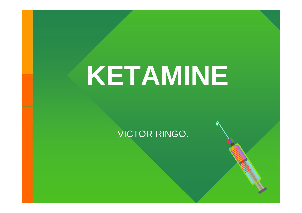# **KETAMINE**

#### VICTOR RINGO.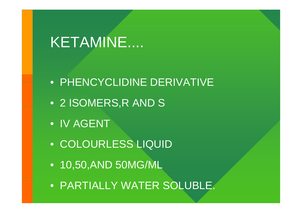- PARTIALLY WATER SOLUBLE.
- 10,50,AND 50MG/ML
- COLOURLESS LIQUID
- IV AGENT
- 2 ISOMERS,R AND S
- PHENCYCLIDINE DERIVATIVE

# KETAMINE....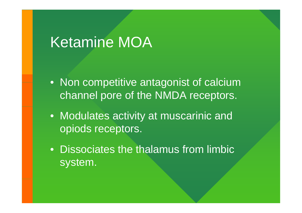# Ketamine MOA

- Non competitive antagonist of calcium channel pore of the NMDA receptors.
- Modulates activity at muscarinic and opiods receptors.
- Dissociates the thalamus from limbic system.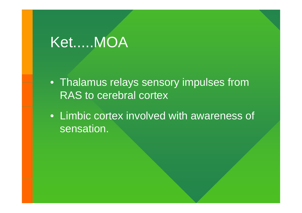# Ket.....MOA

 $\bullet\,$  Thalamus relays sensory impulses from RAS to cerebral cortex

• Limbic cortex involved with awareness of sensation.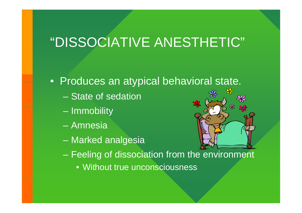### "DISSOCIATIVE ANESTHETIC"

- $\bullet\,$  Produces an atypical behavioral state.
	- State of sedation
	- Immobility
	- Amnesia
	- Marked analgesia



- Feeling of dissociation from the environment
	- Without true unconsciousness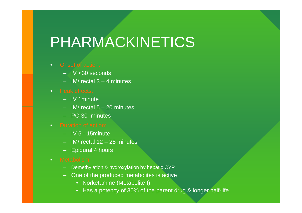# PHARMACKINETICS

- •
	- IV <30 seconds
	- IM/ rectal 3 4 minutes
- •
	- IV 1minute
	- IM/ rectal 5 20 minutes
	- PO 30 minutes
- •
	- IV 5 15minute
	- IM/ rectal 12 25 minutes
	- Epidural 4 hours
- •
	- Demethylation & hydroxylation by hepatic CYP
	- One of the produced metabolites is active
		- Norketamine (Metabolite I)
		- Has a potency of 30% of the parent drug & longer half-life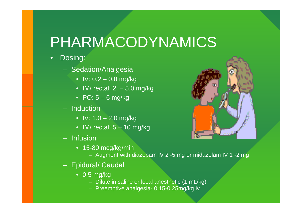# PHARMACODYNAMICS

- • Dosing:
	- Sedation/Analgesia
		- IV: 0.2 0.8 mg/kg
		- IM/ rectal: 2. 5.0 mg/kg
		- PO: 5 6 mg/kg
	- Induction
		- IV: 1.0 2.0 mg/kg
		- $\bullet\,$  IM/ rectal: 5 10 mg/kg
	- Infusion
		- 15-80 mcg/kg/min
			- Augment with diazepam IV 2 -5 mg or midazolam IV 1 -2 mg
	- Epidural/ Caudal
		- 0.5 mg/kg
			- Dilute in saline or local anesthetic (1 mL/kg)
			- Preemptive analgesia- 0.15-0.25mg/kg iv

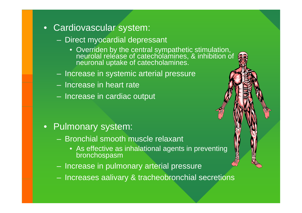- Cardiovascular system:
	- Direct myocardial depressant
		- Overriden by the central sympathetic stimulation, neurolal release of catecholamines, & inhibition of neuronal uptake of catecholamines.
	- Increase in systemic arterial pressure
	- Increase in heart rate
	- Increase in cardiac output

- Pulmonary system:
	- Bronchial smooth muscle relaxant
		- As effective as inhalational agents in preventing bronchospasm
	- Increase in pulmonary arterial pressure
	- Increases aalivary & tracheobronchial secretions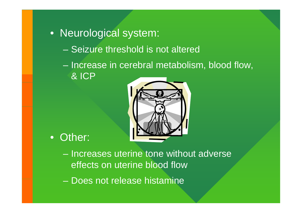- Neurological system:
	- Seizure threshold is not altered
	- Increase in cerebral metabolism, blood flow, & ICP



- Other:
	- Increases uterine tone without adverse effects on uterine blood flow
	- Does not release histamine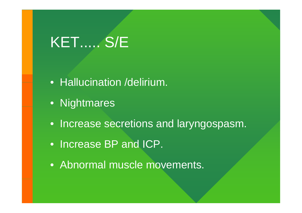# KET..... S/E

- Hallucination /delirium.
- Nightmares
- Increase secretions and laryngospasm.
- Increase BP and ICP.
- Abnormal muscle movements.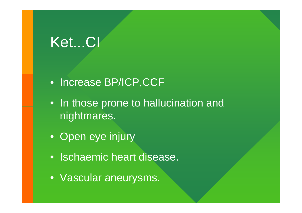# Ket...CI

- Increase BP/ICP,CCF
- In those prone to hallucination and nightmares.
- Open eye injury
- Ischaemic heart disease.
- Vascular aneurysms.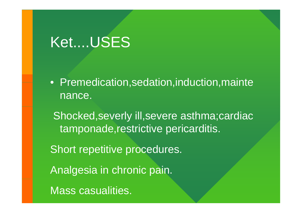# Ket....USES

• Premedication,sedation,induction,mainte nance.

Shocked, severly ill, severe asthma; cardiac tamponade, restrictive pericarditis.

Short repetitive procedures.

Analgesia in chronic pain.

Mass casualities.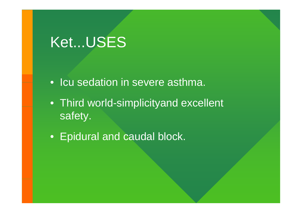# Ket...USES

- $\bullet\,$  Icu sedation in severe asthma.
- Third world-simplicityand excellent safety.
- Epidural and caudal block.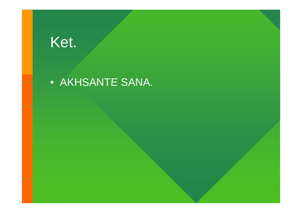## Ket.

### • AKHSANTE SANA.